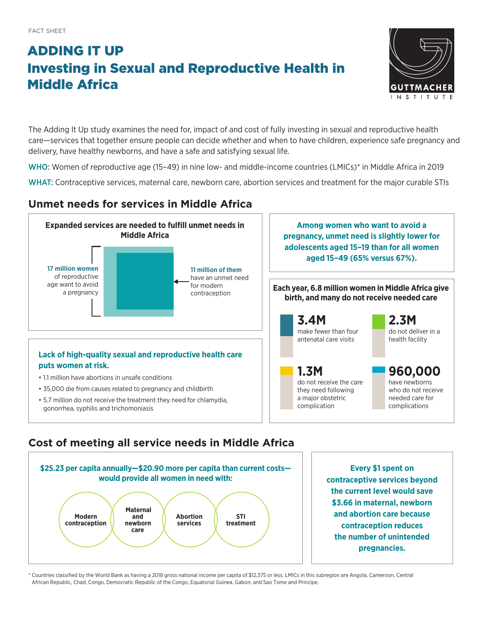# ADDING IT UP Investing in Sexual and Reproductive Health in Middle Africa



The Adding It Up study examines the need for, impact of and cost of fully investing in sexual and reproductive health care—services that together ensure people can decide whether and when to have children, experience safe pregnancy and delivery, have healthy newborns, and have a safe and satisfying sexual life.

WHO: Women of reproductive age (15–49) in nine low- and middle-income countries (LMICs)\* in Middle Africa in 2019

WHAT: Contraceptive services, maternal care, newborn care, abortion services and treatment for the major curable STIs

## **Unmet needs for services in Middle Africa**



## **Cost of meeting all service needs in Middle Africa**



**Every \$1 spent on contraceptive services beyond the current level would save \$3.66 in maternal, newborn and abortion care because contraception reduces the number of unintended pregnancies.**

\* Countries classified by the World Bank as having a 2018 gross national income per capita of \$12,375 or less. LMICs in this subregion are Angola, Cameroon, Central African Republic, Chad, Congo, Democratic Republic of the Congo, Equatorial Guinea, Gabon, and Sao Tome and Principe.